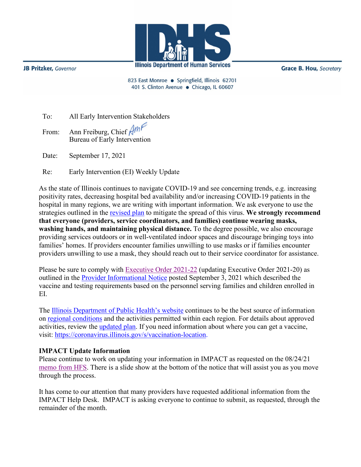

**JB Pritzker**, Governor

**Grace B. Hou, Secretary** 

823 East Monroe · Springfield, Illinois 62701 401 S. Clinton Avenue · Chicago, IL 60607

| To: |  | All Early Intervention Stakeholders |
|-----|--|-------------------------------------|
|     |  |                                     |

From: Ann Freiburg, Chief Amf Bureau of Early Intervention

Date: September 17, 2021

Re: Early Intervention (EI) Weekly Update

As the state of Illinois continues to navigate COVID-19 and see concerning trends, e.g. increasing positivity rates, decreasing hospital bed availability and/or increasing COVID-19 patients in the hospital in many regions, we are writing with important information. We ask everyone to use the strategies outlined in the [revised plan](http://www.wiu.edu/coehs/provider_connections/pdf/Revised%20Early%20Intervention%20Plan%20for%20Resuming%20In-Person%20Services-06-23-21.pdf) to mitigate the spread of this virus. **We strongly recommend that everyone (providers, service coordinators, and families) continue wearing masks, washing hands, and maintaining physical distance.** To the degree possible, we also encourage providing services outdoors or in well-ventilated indoor spaces and discourage bringing toys into families' homes. If providers encounter families unwilling to use masks or if families encounter providers unwilling to use a mask, they should reach out to their service coordinator for assistance.

Please be sure to comply with [Executive Order 2021-22](https://www.illinois.gov/government/executive-orders/executive-order.executive-order-number-22.2021.html) (updating Executive Order 2021-20) as outlined in the [Provider Informational Notice](http://www.wiu.edu/coehs/provider_connections/pdf/PIN%2020210903%20Executive%20Order%20for%20COVID%20Final.pdf) posted September 3, 2021 which described the vaccine and testing requirements based on the personnel serving families and children enrolled in EI.

The [Illinois Department of Public Health's website](https://www.dph.illinois.gov/covid19) continues to be the best source of information on [regional conditions](https://www.dph.illinois.gov/regionmetrics?regionID=1) and the activities permitted within each region. For details about approved activities, review the [updated plan.](https://www2.illinois.gov/IISNews/22653-Illinois_Resurgence_Mitigation_Plan_-_January_15_2021_Update.pdf) If you need information about where you can get a vaccine, visit: [https://coronavirus.illinois.gov/s/vaccination-location.](https://coronavirus.illinois.gov/s/vaccination-location)

## **IMPACT Update Information**

Please continue to work on updating your information in IMPACT as requested on the 08/24/21 [memo from HFS.](https://www2.illinois.gov/hfs/MedicalProviders/notices/Pages/prn210824a.aspx) There is a slide show at the bottom of the notice that will assist you as you move through the process.

It has come to our attention that many providers have requested additional information from the IMPACT Help Desk. IMPACT is asking everyone to continue to submit, as requested, through the remainder of the month.